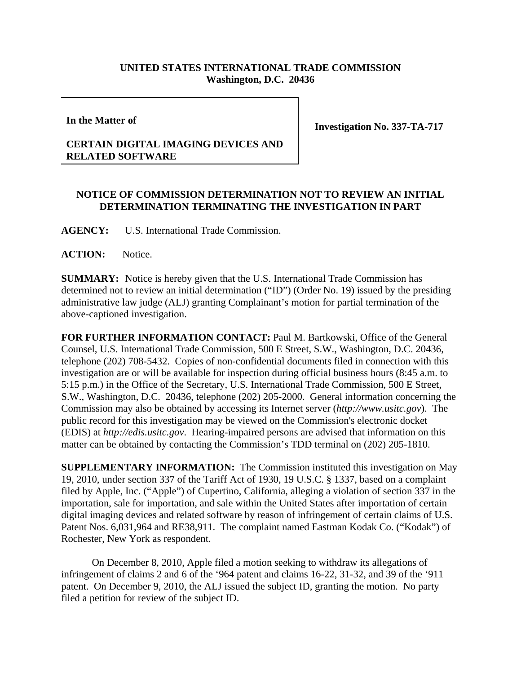## **UNITED STATES INTERNATIONAL TRADE COMMISSION Washington, D.C. 20436**

**In the Matter of**

**Investigation No. 337-TA-717**

## **CERTAIN DIGITAL IMAGING DEVICES AND RELATED SOFTWARE**

## **NOTICE OF COMMISSION DETERMINATION NOT TO REVIEW AN INITIAL DETERMINATION TERMINATING THE INVESTIGATION IN PART**

**AGENCY:** U.S. International Trade Commission.

**ACTION:** Notice.

**SUMMARY:** Notice is hereby given that the U.S. International Trade Commission has determined not to review an initial determination ("ID") (Order No. 19) issued by the presiding administrative law judge (ALJ) granting Complainant's motion for partial termination of the above-captioned investigation.

**FOR FURTHER INFORMATION CONTACT:** Paul M. Bartkowski, Office of the General Counsel, U.S. International Trade Commission, 500 E Street, S.W., Washington, D.C. 20436, telephone (202) 708-5432. Copies of non-confidential documents filed in connection with this investigation are or will be available for inspection during official business hours (8:45 a.m. to 5:15 p.m.) in the Office of the Secretary, U.S. International Trade Commission, 500 E Street, S.W., Washington, D.C. 20436, telephone (202) 205-2000. General information concerning the Commission may also be obtained by accessing its Internet server (*http://www.usitc.gov*). The public record for this investigation may be viewed on the Commission's electronic docket (EDIS) at *http://edis.usitc.gov*. Hearing-impaired persons are advised that information on this matter can be obtained by contacting the Commission's TDD terminal on (202) 205-1810.

**SUPPLEMENTARY INFORMATION:** The Commission instituted this investigation on May 19, 2010, under section 337 of the Tariff Act of 1930, 19 U.S.C. § 1337, based on a complaint filed by Apple, Inc. ("Apple") of Cupertino, California, alleging a violation of section 337 in the importation, sale for importation, and sale within the United States after importation of certain digital imaging devices and related software by reason of infringement of certain claims of U.S. Patent Nos. 6,031,964 and RE38,911. The complaint named Eastman Kodak Co. ("Kodak") of Rochester, New York as respondent.

On December 8, 2010, Apple filed a motion seeking to withdraw its allegations of infringement of claims 2 and 6 of the '964 patent and claims 16-22, 31-32, and 39 of the '911 patent. On December 9, 2010, the ALJ issued the subject ID, granting the motion. No party filed a petition for review of the subject ID.